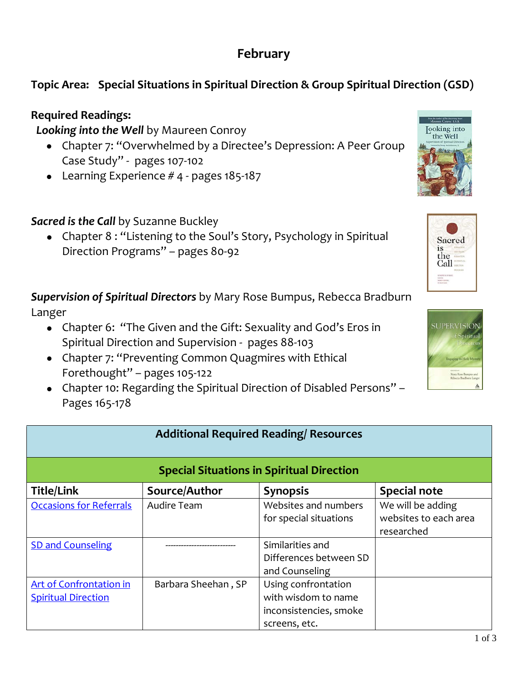## **February**

## **Topic Area: Special Situations in Spiritual Direction & Group Spiritual Direction (GSD)**

## **Required Readings:**

*Looking into the Well* by Maureen Conroy

- Chapter 7: "Overwhelmed by a Directee's Depression: A Peer Group Case Study" - pages 107-102
- Learning Experience # 4 pages 185-187

*Sacred is the Call* by Suzanne Buckley

• Chapter 8 : "Listening to the Soul's Story, Psychology in Spiritual Direction Programs" – pages 80-92

*Supervision of Spiritual Directors* by Mary Rose Bumpus, Rebecca Bradburn Langer

- Chapter 6: "The Given and the Gift: Sexuality and God's Eros in Spiritual Direction and Supervision - pages 88-103
- Chapter 7: "Preventing Common Quagmires with Ethical Forethought" – pages 105-122
- Chapter 10: Regarding the Spiritual Direction of Disabled Persons" Pages 165-178

| <b>Additional Required Reading/ Resources</b>                |                     |                                                                                       |                                                          |  |  |
|--------------------------------------------------------------|---------------------|---------------------------------------------------------------------------------------|----------------------------------------------------------|--|--|
| <b>Special Situations in Spiritual Direction</b>             |                     |                                                                                       |                                                          |  |  |
| <b>Title/Link</b>                                            | Source/Author       | <b>Synopsis</b>                                                                       | <b>Special note</b>                                      |  |  |
| <b>Occasions for Referrals</b>                               | Audire Team         | Websites and numbers<br>for special situations                                        | We will be adding<br>websites to each area<br>researched |  |  |
| <b>SD and Counseling</b>                                     |                     | Similarities and<br>Differences between SD<br>and Counseling                          |                                                          |  |  |
| <b>Art of Confrontation in</b><br><b>Spiritual Direction</b> | Barbara Sheehan, SP | Using confrontation<br>with wisdom to name<br>inconsistencies, smoke<br>screens, etc. |                                                          |  |  |







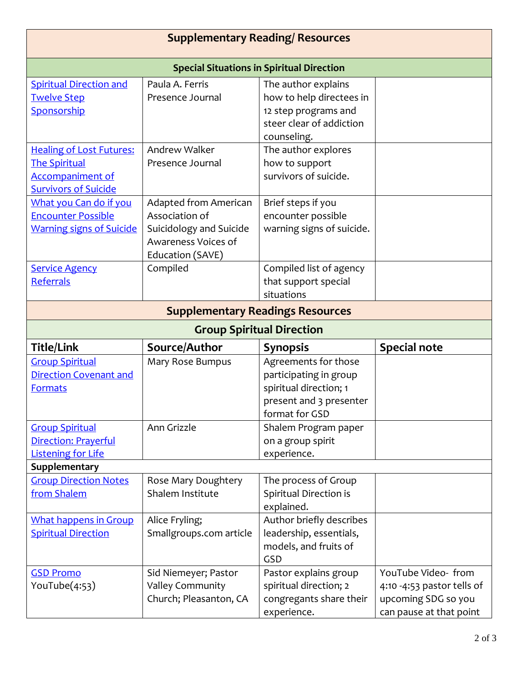| <b>Supplementary Reading/ Resources</b>                                                                           |                                                                                                               |                                                                                                                       |                                                                                                    |  |  |
|-------------------------------------------------------------------------------------------------------------------|---------------------------------------------------------------------------------------------------------------|-----------------------------------------------------------------------------------------------------------------------|----------------------------------------------------------------------------------------------------|--|--|
| <b>Special Situations in Spiritual Direction</b>                                                                  |                                                                                                               |                                                                                                                       |                                                                                                    |  |  |
| <b>Spiritual Direction and</b><br><b>Twelve Step</b><br>Sponsorship                                               | Paula A. Ferris<br>Presence Journal                                                                           | The author explains<br>how to help directees in<br>12 step programs and<br>steer clear of addiction<br>counseling.    |                                                                                                    |  |  |
| <b>Healing of Lost Futures:</b><br><b>The Spiritual</b><br><b>Accompaniment of</b><br><b>Survivors of Suicide</b> | Andrew Walker<br>Presence Journal                                                                             | The author explores<br>how to support<br>survivors of suicide.                                                        |                                                                                                    |  |  |
| What you Can do if you<br><b>Encounter Possible</b><br><b>Warning signs of Suicide</b>                            | Adapted from American<br>Association of<br>Suicidology and Suicide<br>Awareness Voices of<br>Education (SAVE) | Brief steps if you<br>encounter possible<br>warning signs of suicide.                                                 |                                                                                                    |  |  |
| <b>Service Agency</b><br>Referrals                                                                                | Compiled                                                                                                      | Compiled list of agency<br>that support special<br>situations                                                         |                                                                                                    |  |  |
|                                                                                                                   | <b>Supplementary Readings Resources</b>                                                                       |                                                                                                                       |                                                                                                    |  |  |
| <b>Group Spiritual Direction</b>                                                                                  |                                                                                                               |                                                                                                                       |                                                                                                    |  |  |
| <b>Title/Link</b>                                                                                                 | Source/Author                                                                                                 | <b>Synopsis</b>                                                                                                       | <b>Special note</b>                                                                                |  |  |
| <b>Group Spiritual</b><br><b>Direction Covenant and</b><br><b>Formats</b>                                         | Mary Rose Bumpus                                                                                              | Agreements for those<br>participating in group<br>spiritual direction; 1<br>present and 3 presenter<br>format for GSD |                                                                                                    |  |  |
| <b>Group Spiritual</b><br>Direction: Prayerful<br><b>Listening for Life</b>                                       | Ann Grizzle                                                                                                   | Shalem Program paper<br>on a group spirit<br>experience.                                                              |                                                                                                    |  |  |
| Supplementary                                                                                                     |                                                                                                               |                                                                                                                       |                                                                                                    |  |  |
| <b>Group Direction Notes</b><br>from Shalem                                                                       | Rose Mary Doughtery<br>Shalem Institute                                                                       | The process of Group<br>Spiritual Direction is<br>explained.                                                          |                                                                                                    |  |  |
| <b>What happens in Group</b><br><b>Spiritual Direction</b>                                                        | Alice Fryling;<br>Smallgroups.com article                                                                     | Author briefly describes<br>leadership, essentials,<br>models, and fruits of<br>GSD                                   |                                                                                                    |  |  |
| <b>GSD Promo</b><br>YouTube(4:53)                                                                                 | Sid Niemeyer; Pastor<br><b>Valley Community</b><br>Church; Pleasanton, CA                                     | Pastor explains group<br>spiritual direction; 2<br>congregants share their<br>experience.                             | YouTube Video-from<br>4:10 -4:53 pastor tells of<br>upcoming SDG so you<br>can pause at that point |  |  |